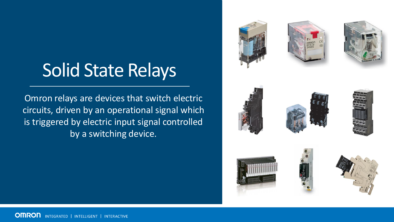## Solid State Relays

Omron relays are devices that switch electric circuits, driven by an operational signal which is triggered by electric input signal controlled by a switching device.









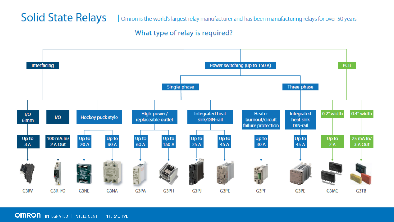## **Solid State Relays**

Omron is the world's largest relay manufacturer and has been manufacturing relays for over 50 years

#### What type of relay is required?

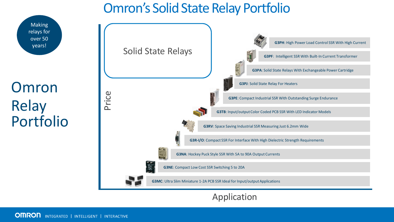## Omron's Solid State Relay Portfolio



## Application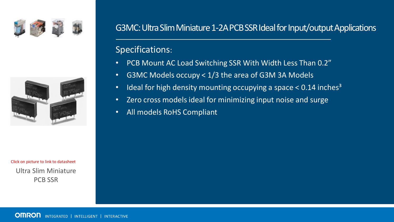



Ultra Slim Miniature PCB SSR Click on picture to link to datasheet

## G3MC: Ultra Slim Miniature 1-2A PCB SSR Ideal for Input/output Applications

- PCB Mount AC Load Switching SSR With Width Less Than 0.2"
- G3MC Models occupy < 1/3 the area of G3M 3A Models
- Ideal for high density mounting occupying a space  $< 0.14$  inches<sup>3</sup>
- Zero cross models ideal for minimizing input noise and surge
- All models RoHS Compliant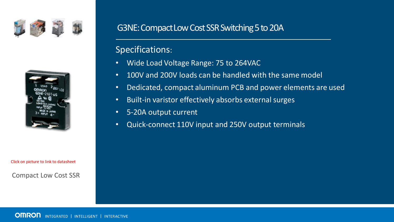



Click on picture to link to datasheet

#### Compact Low Cost SSR

## G3NE: Compact Low Cost SSR Switching 5 to 20A

- Wide Load Voltage Range: 75 to 264VAC
- 100V and 200V loads can be handled with the same model
- Dedicated, compact aluminum PCB and power elements are used
- Built-in varistor effectively absorbs external surges
- 5-20A output current
- Quick-connect 110V input and 250V output terminals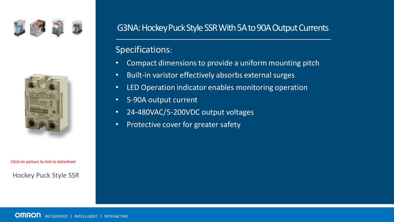



Click on picture to link to datasheet

Hockey Puck Style SSR

## G3NA: Hockey Puck Style SSR With 5A to 90A Output Currents

- Compact dimensions to provide a uniform mounting pitch
- Built-in varistor effectively absorbs external surges
- LED Operation indicator enables monitoring operation
- 5-90A output current
- 24-480VAC/5-200VDC output voltages
- Protective cover for greater safety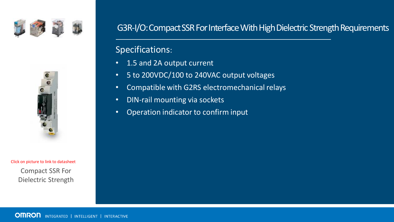



Compact SSR For Dielectric Strength Click on picture to link to datasheet

## G3R-I/O: Compact SSR For Interface With High Dielectric Strength Requirements

- 1.5 and 2A output current
- 5 to 200VDC/100 to 240VAC output voltages
- Compatible with G2RS electromechanical relays
- DIN-rail mounting via sockets
- Operation indicator to confirm input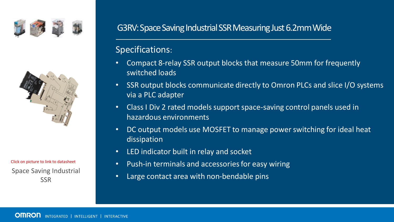



Space Saving Industrial **SSR** Click on picture to link to datasheet

## G3RV: Space Saving Industrial SSR Measuring Just 6.2mm Wide

- Compact 8-relay SSR output blocks that measure 50mm for frequently switched loads
- SSR output blocks communicate directly to Omron PLCs and slice I/O systems via a PLC adapter
- Class I Div 2 rated models support space-saving control panels used in hazardous environments
- DC output models use MOSFET to manage power switching for ideal heat dissipation
- LED indicator built in relay and socket
- Push-in terminals and accessories for easy wiring
- Large contact area with non-bendable pins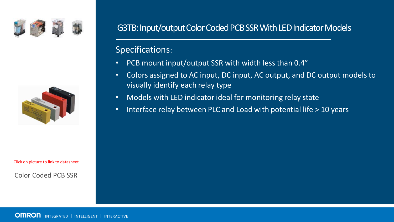



Click on picture to link to datasheet

#### Color Coded PCB SSR

## G3TB: Input/output Color Coded PCB SSR With LED Indicator Models

- PCB mount input/output SSR with width less than 0.4"
- Colors assigned to AC input, DC input, AC output, and DC output models to visually identify each relay type
- Models with LED indicator ideal for monitoring relay state
- Interface relay between PLC and Load with potential life > 10 years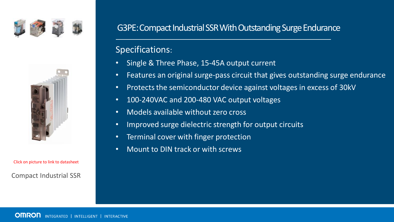



Compact Industrial SSR Click on picture to link to datasheet

## G3PE: Compact Industrial SSR With Outstanding Surge Endurance

- Single & Three Phase, 15-45A output current
- Features an original surge-pass circuit that gives outstanding surge endurance
- Protects the semiconductor device against voltages in excess of 30kV
- 100-240VAC and 200-480 VAC output voltages
- Models available without zero cross
- Improved surge dielectric strength for output circuits
- Terminal cover with finger protection
- Mount to DIN track or with screws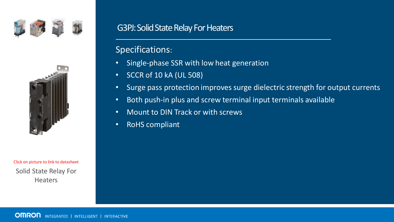



Solid State Relay For **Heaters** Click on picture to link to datasheet

## G3PJ: Solid State Relay For Heaters

- Single-phase SSR with low heat generation
- SCCR of 10 kA (UL 508)
- Surge pass protection improves surge dielectric strength for output currents
- Both push-in plus and screw terminal input terminals available
- Mount to DIN Track or with screws
- RoHS compliant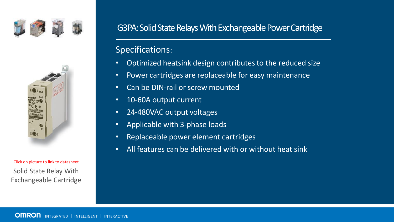



Solid State Relay With Exchangeable Cartridge Click on picture to link to datasheet

## G3PA: Solid State Relays With Exchangeable Power Cartridge

- Optimized heatsink design contributes to the reduced size
- Power cartridges are replaceable for easy maintenance
- Can be DIN-rail or screw mounted
- 10-60A output current
- 24-480VAC output voltages
- Applicable with 3-phase loads
- Replaceable power element cartridges
- All features can be delivered with or without heat sink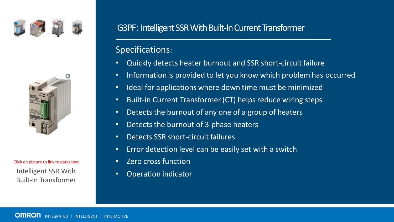



Built-In Transformer Click on picture to link to datasheet

## G3PF: Intelligent SSR With Built-In Current Transformer

- Quickly detects heater burnout and SSR short-circuit failure
- Information is provided to let you know which problem has occurred
- Ideal for applications where down time must be minimized
- Built-in Current Transformer (CT) helps reduce wiring steps
- Detects the burnout of any one of a group of heaters
- Detects the burnout of 3-phase heaters
- Detects SSR short-circuit failures
- Error detection level can be easily set with a switch
- Zero cross function
- Intelligent SSR With **•** Operation indicator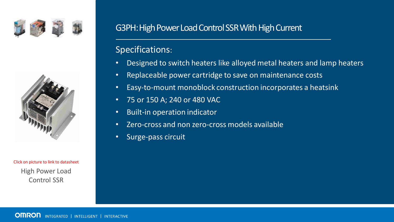



High Power Load Control SSR Click on picture to link to datasheet

## G3PH: High Power Load Control SSR With High Current

- Designed to switch heaters like alloyed metal heaters and lamp heaters
- Replaceable power cartridge to save on maintenance costs
- Easy-to-mount monoblock construction incorporates a heatsink
- 75 or 150 A; 240 or 480 VAC
- Built-in operation indicator
- Zero-cross and non zero-cross models available
- Surge-pass circuit